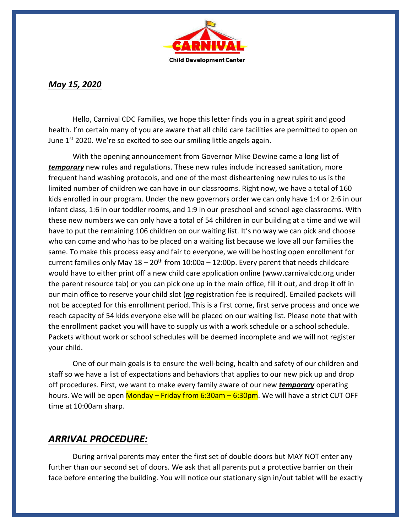

## *May 15, 2020*

Hello, Carnival CDC Families, we hope this letter finds you in a great spirit and good health. I'm certain many of you are aware that all child care facilities are permitted to open on June  $1<sup>st</sup>$  2020. We're so excited to see our smiling little angels again.

With the opening announcement from Governor Mike Dewine came a long list of *temporary* new rules and regulations. These new rules include increased sanitation, more frequent hand washing protocols, and one of the most disheartening new rules to us is the limited number of children we can have in our classrooms. Right now, we have a total of 160 kids enrolled in our program. Under the new governors order we can only have 1:4 or 2:6 in our infant class, 1:6 in our toddler rooms, and 1:9 in our preschool and school age classrooms. With these new numbers we can only have a total of 54 children in our building at a time and we will have to put the remaining 106 children on our waiting list. It's no way we can pick and choose who can come and who has to be placed on a waiting list because we love all our families the same. To make this process easy and fair to everyone, we will be hosting open enrollment for current families only May  $18-20$ <sup>th</sup> from  $10:00$ a –  $12:00$ p. Every parent that needs childcare would have to either print off a new child care application online (www.carnivalcdc.org under the parent resource tab) or you can pick one up in the main office, fill it out, and drop it off in our main office to reserve your child slot (*no* registration fee is required). Emailed packets will not be accepted for this enrollment period. This is a first come, first serve process and once we reach capacity of 54 kids everyone else will be placed on our waiting list. Please note that with the enrollment packet you will have to supply us with a work schedule or a school schedule. Packets without work or school schedules will be deemed incomplete and we will not register your child.

One of our main goals is to ensure the well-being, health and safety of our children and staff so we have a list of expectations and behaviors that applies to our new pick up and drop off procedures. First, we want to make every family aware of our new *temporary* operating hours. We will be open  $M$ onday – Friday from 6:30am – 6:30pm. We will have a strict CUT OFF time at 10:00am sharp.

## *ARRIVAL PROCEDURE:*

During arrival parents may enter the first set of double doors but MAY NOT enter any further than our second set of doors. We ask that all parents put a protective barrier on their face before entering the building. You will notice our stationary sign in/out tablet will be exactly